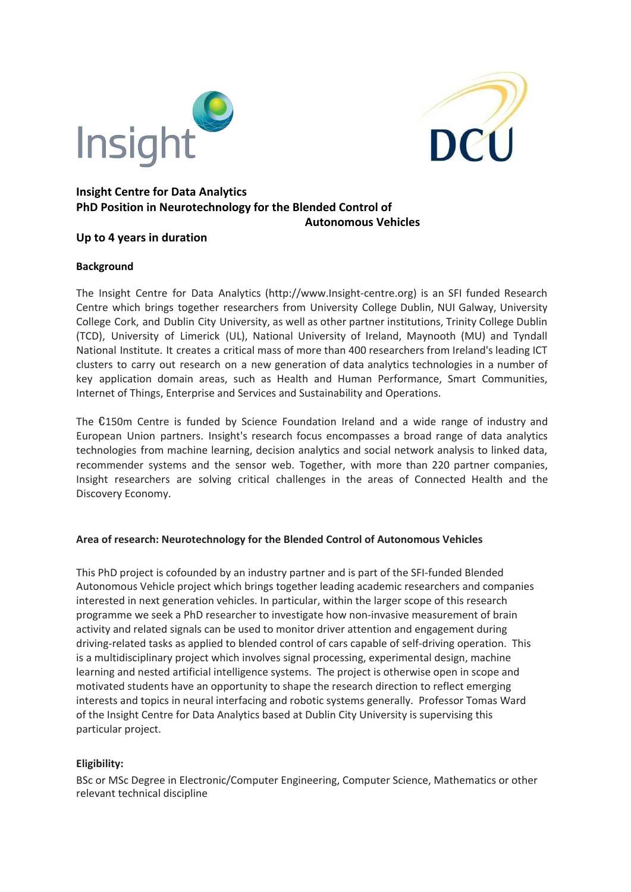



## **Insight Centre for Data Analytics PhD Position in Neurotechnology for the Blended Control of Autonomous Vehicles**

# **Up to 4 years in duration**

## **Background**

The Insight Centre for Data Analytics (http://www.Insight-centre.org) is an SFI funded Research Centre which brings together researchers from University College Dublin, NUI Galway, University College Cork, and Dublin City University, as well as other partner institutions, Trinity College Dublin (TCD), University of Limerick (UL), National University of Ireland, Maynooth (MU) and Tyndall National Institute. It creates a critical mass of more than 400 researchers from Ireland's leading ICT clusters to carry out research on a new generation of data analytics technologies in a number of key application domain areas, such as Health and Human Performance, Smart Communities, Internet of Things, Enterprise and Services and Sustainability and Operations.

The €150m Centre is funded by Science Foundation Ireland and a wide range of industry and European Union partners. Insight's research focus encompasses a broad range of data analytics technologies from machine learning, decision analytics and social network analysis to linked data, recommender systems and the sensor web. Together, with more than 220 partner companies, Insight researchers are solving critical challenges in the areas of Connected Health and the Discovery Economy.

# **Area of research: Neurotechnology for the Blended Control of Autonomous Vehicles**

This PhD project is cofounded by an industry partner and is part of the SFI-funded Blended Autonomous Vehicle project which brings together leading academic researchers and companies interested in next generation vehicles. In particular, within the larger scope of this research programme we seek a PhD researcher to investigate how non-invasive measurement of brain activity and related signals can be used to monitor driver attention and engagement during driving-related tasks as applied to blended control of cars capable of self-driving operation. This is a multidisciplinary project which involves signal processing, experimental design, machine learning and nested artificial intelligence systems. The project is otherwise open in scope and motivated students have an opportunity to shape the research direction to reflect emerging interests and topics in neural interfacing and robotic systems generally. Professor Tomas Ward of the Insight Centre for Data Analytics based at Dublin City University is supervising this particular project.

### **Eligibility:**

BSc or MSc Degree in Electronic/Computer Engineering, Computer Science, Mathematics or other relevant technical discipline